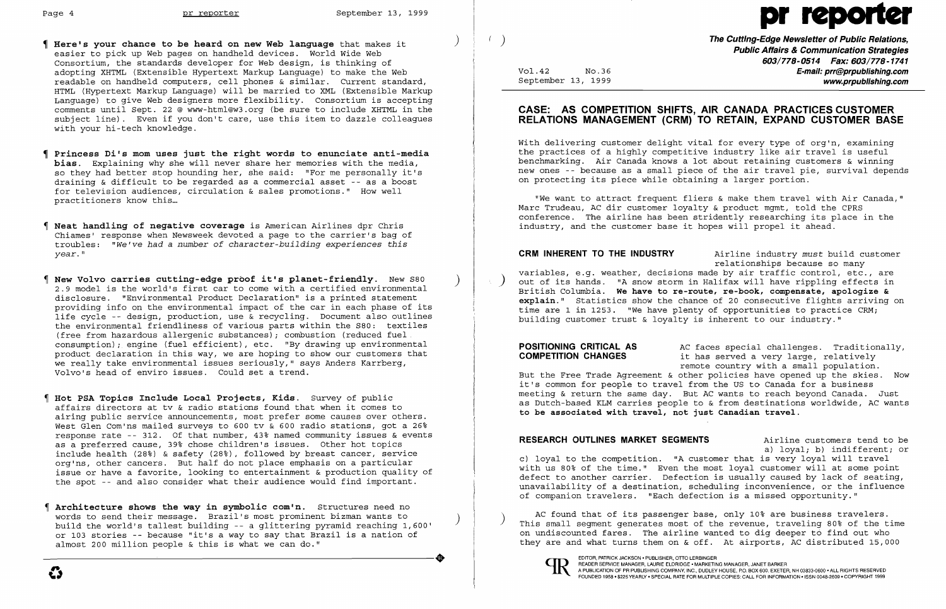- Page 4 pr reporter September 13, 1999<br>
The Cutting-Edge New Medianguage that makes it (butting-Edge New Median September 13, 1999)<br>
The Cutting-Edge New Median Africa 8 **Here's your chance to be heard on new Web language** that makes it easier to pick up Web pages on handheld devices. World Wide Web Consortium, the standards developer for Web design, is thinking of adopting XHTML (Extensible Hypertext Markup Language) to make the Web readable on handheld computers, cell phones & similar. Current standard, HTML (Hypertext Markup Language) will be married to XML (Extensible Markup Language) to give Web designers more flexibility. Consortium is accepting comments until Sept. 22 @ www-html@w3.org (be sure to include XHTML in the subject line). Even if you don't care, use this item to dazzle colleagues with your hi-tech knowledge.
- Princess Di's mom uses just the right words to enunciate anti-media bias. Explaining why she will never share her memories with the media, so they had better stop hounding her, she said: "For me personally it's draining & difficult to be regarded as a commercial asset -- as a boost for television audiences, circulation & sales promotions." How well practitioners know this...
- Neat handling of negative coverage is American Airlines dpr Chris Chiames' response when Newsweek devoted a page to the carrier's bag of troubles: *"We've had* a *number* of *character-building experiences this year."*
- New Volvo carries cutting-edge proof it's planet-friendly. New S80 2.9 model is the world's first car to come with a certified environmental disclosure. "Environmental Product Declaration" is a printed statement providing info on the environmental impact of the car in each phase of its life cycle -- design, production, use & recycling. Document also outlines the environmental friendliness of various parts within the S80: textiles (free from hazardous allergenic substances); combustion (reduced fuel  $\frac{1}{2}$ consumption); engine (fuel efficient), etc. "By drawing up environmental product declaration in this way, we are hoping to show our customers that we really take environmental issues seriously," says Anders Karrberg, Volvo's head of enviro issues. Could set a trend. Ì,
- I Hot PSA Topics Include Local Projects, Kids. Survey of public affairs directors at tv & radio stations found that when it comes to airing public service announcements, most prefer some causes over others. West Glen Com'ns mailed surveys to 600 tv & 600 radio stations, got a 26% response rate -- 312. Of that number, 43% named community issues & events as a preferred cause, 39% chose children's issues. Other hot topics include health (28%) & safety (28%), followed by breast cancer, service org'ns, other cancers. But half do not place emphasis on a particular issue or have a favorite, looking to entertainment & production quality of the spot -- and also consider what their audience would find important.
- Architecture shows the way in symbolic com'n. Structures need no words to send their message. Brazil's most prominent bizman wants to ) build the world's tallest building -- a glittering pyramid reaching 1,600' or 103 stories -- because "it's a way to say that Brazil is a nation of almost 200 million people & this is what we can do." ----------'-----------------+

(e) the Cutting-Edge Newsletter of Public Relations. Public Affairs & Communication Strategies 603/778-0514 Fax: 603/778-1741 Vol.42 No.36 **No.36** No.36 **E-mail: prr@prpublishing.com** September 13, 1999 www.prpublishing.com

**POSITIONING CRITICAL AS** AC faces special challenges. Traditionally,<br>**COMPETITION CHANGES** it has served a very large, relatively it has served a very large, relatively But the Free Trade Agreement & other policies have opened up the skies. Now it's common for people to travel from the US to Canada for a business meeting & return the same day. But AC wants to reach beyond Canada. Just as Dutch-based KLM carries people to & from destinations worldwide, AC wants to be associated with travel, not just Canadian travel.

RESEARCH OUTLINES MARKET SEGMENTS **Airline customers** tend to be a) loyal; b) indifferent; or c) loyal to the competition. "A customer that is very loyal will travel with us 80% of the time." Even the most loyal customer will at some point defect to another carrier. Defection is usually caused by lack of seating, unavailability of a destination, scheduling inconvenience, or the influence of companion travelers. "Each defection is a missed opportunity."

AC found that of its passenger base, only 10% are business travelers.<br>This small segment generates most of the revenue, traveling 80% of the time on undiscounted fares. The airline wanted to dig deeper to find out who they are and what turns them on & off. At airports, AC distributed 15,000



EDITOR, PATRICK JACKSON • PUBLISHER, OTTO LERBINGER<br>READER SERVICE MANAGER, LAURIE ELDRIDGE • MARKETING MANAGER, JANET BARKER

 $\mathbf{C}$ 

## CASE: AS COMPETITION SHIFTS, AIR CANADA PRACTICES CUSTOMER RELATIONS MANAGEMENT (CRM) TO RETAIN, EXPAND CUSTOMER BASE

With delivering customer delight vital for every type of org'n, examining the practices of a highly competitive industry like air travel is useful benchmarking. Air Canada knows a lot about retaining customers & winning new ones -- because as a small piece of the air travel pie, survival depends on protecting its piece while obtaining a larger portion.

"We want to attract frequent fliers & make them travel with Air Canada," Marc Trudeau, AC dir customer loyalty & product mgmt, told the CPRS conference. The airline has been stridently researching its place in the industry, and the customer base it hopes will propel it ahead.

CRM INHERENT TO THE INDUSTRY Airline industry *must* build customer relationships because so many variables, e.g. weather, decisions made by air traffic control, etc., are out of its hands. "A snow storm in Halifax will have rippling effects in British Columbia. We have to re-route, re-book, compensate, apologize & explain." Statistics show the chance of 20 consecutive flights arriving on time are 1 in 1253. "We have plenty of opportunities to practice CRM; building customer trust & loyalty is inherent to our industry."

remote country with a small population.

A PUBLICATION OF PR PUBLISHING COMPANY, INC., DUDLEY HOUSE, P.O. BOX 600, EXETER, NH 03833-0600 · ALL RIGHTS RESERVED FOUNDED 1958' \$225 YEARLY' SPECIAL RATE FOR MULTIPLE COPIES: CALL FOR INFORMATION· ISSN 0048-2609' COPYRIGHT 1999